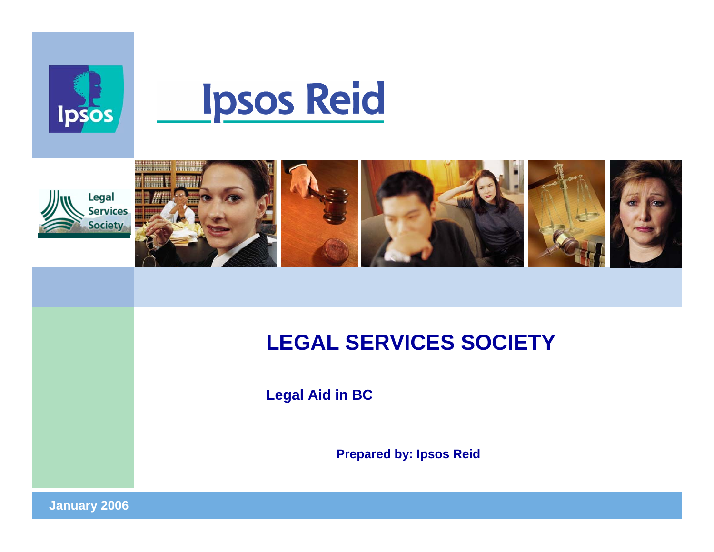

# **Ipsos Reid**



# **LEGAL SERVICES SOCIETY**

**Legal Aid in BC**

**Prepared by: Ipsos Reid**

**January 2006 <sup>1</sup>**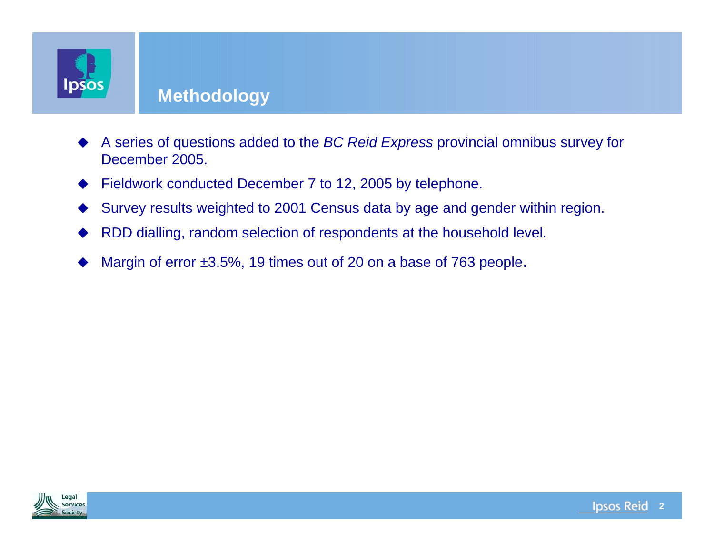

#### **Methodology**

- ♦ A series of questions added to the *BC Reid Express* provincial omnibus survey for December 2005.
- ♦ Fieldwork conducted December 7 to 12, 2005 by telephone.
- ♦ Survey results weighted to 2001 Census data by age and gender within region.
- ♦ RDD dialling, random selection of respondents at the household level.
- ♦ Margin of error  $\pm 3.5\%$ , 19 times out of 20 on a base of 763 people.

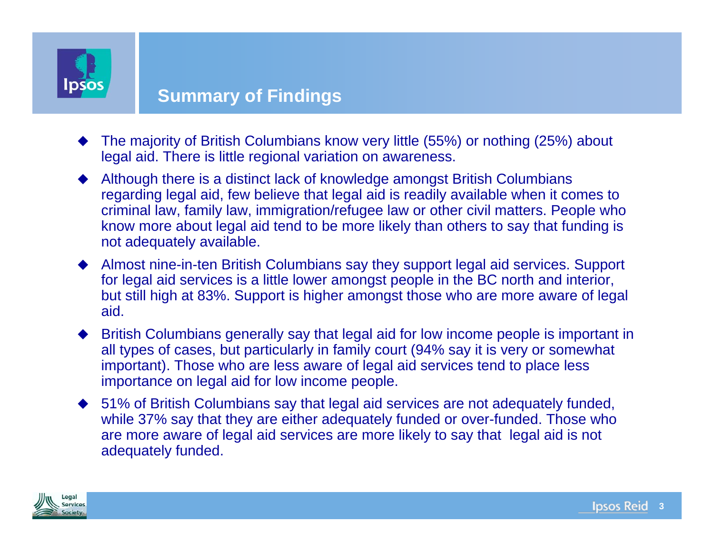

#### **Summary of Findings**

- ♦ The majority of British Columbians know very little (55%) or nothing (25%) about legal aid. There is little regional variation on awareness.
- ♦ Although there is a distinct lack of knowledge amongst British Columbians regarding legal aid, few believe that legal aid is readily available when it comes to criminal law, family law, immigration/refugee law or other civil matters. People who know more about legal aid tend to be more likely than others to say that funding is not adequately available.
- Almost nine-in-ten British Columbians say they support legal aid services. Support for legal aid services is a little lower amongst people in the BC north and interior, but still high at 83%. Support is higher amongst those who are more aware of legal aid.
- ♦ British Columbians generally say that legal aid for low income people is important in all types of cases, but particularly in family court (94% say it is very or somewhat important). Those who are less aware of legal aid services tend to place less importance on legal aid for low income people.
- ◆ 51% of British Columbians say that legal aid services are not adequately funded, while 37% say that they are either adequately funded or over-funded. Those who are more aware of legal aid services are more likely to say that legal aid is not adequately funded.

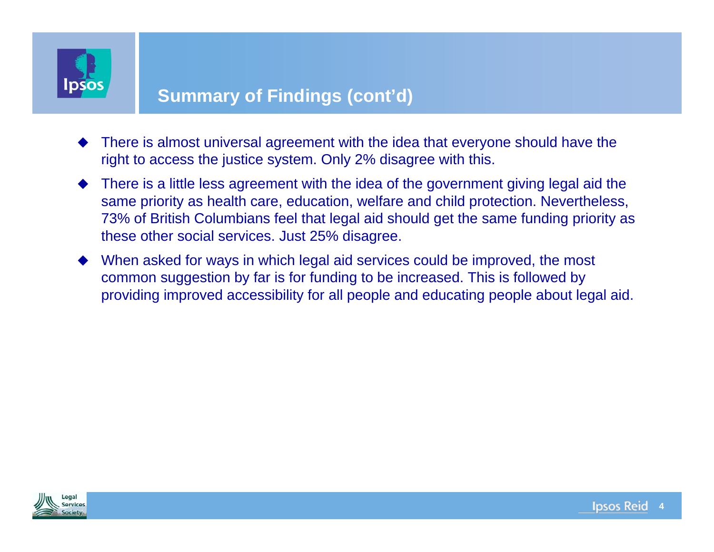

#### **Summary of Findings (cont'd)**

- ♦ There is almost universal agreement with the idea that everyone should have the right to access the justice system. Only 2% disagree with this.
- ♦ There is a little less agreement with the idea of the government giving legal aid the same priority as health care, education, welfare and child protection. Nevertheless, 73% of British Columbians feel that legal aid should get the same funding priority as these other social services. Just 25% disagree.
- ♦ When asked for ways in which legal aid services could be improved, the most common suggestion by far is for funding to be increased. This is followed by providing improved accessibility for all people and educating people about legal aid.

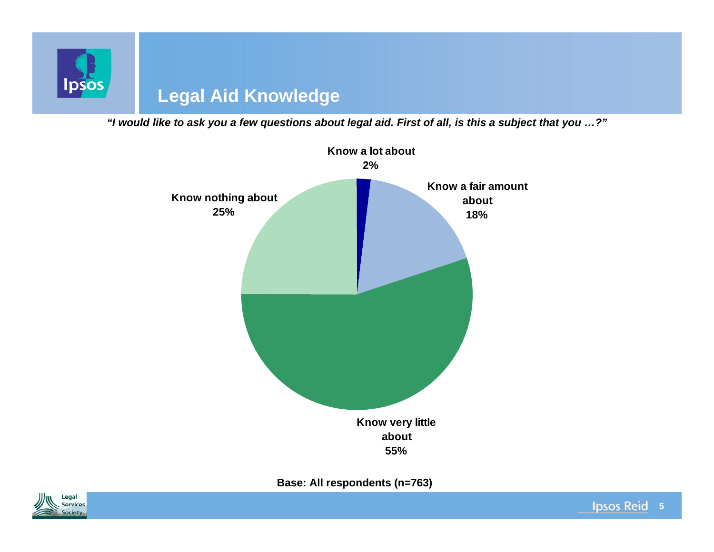

*"I would like to ask you a few questions about legal aid. First of all, is this a subject that you …?"*



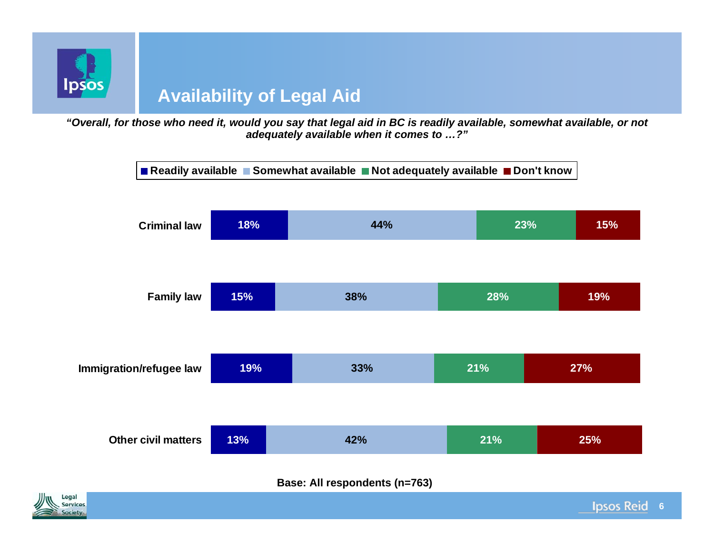

# **Availability of Legal Aid**

*"Overall, for those who need it, would you say that legal aid in BC is readily available, somewhat available, or not adequately available when it comes to …?"*



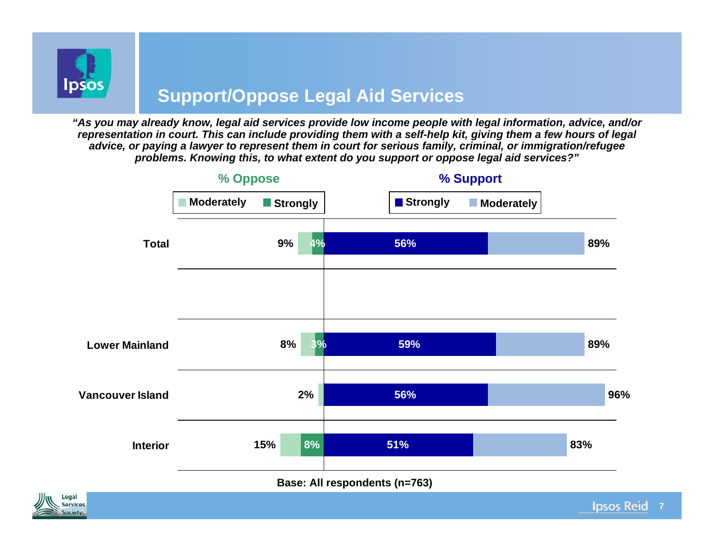

### **Support/Oppose Legal Aid Services**

*"As you may already know, legal aid services provide low income people with legal information, advice, and/or representation in court. This can include providing them with a self-help kit, giving them a few hours of legal advice, or paying a lawyer to represent them in court for serious family, criminal, or immigration/refugee problems. Knowing this, to what extent do you support or oppose legal aid services?"*



**7**

**Ipsos Reid** 

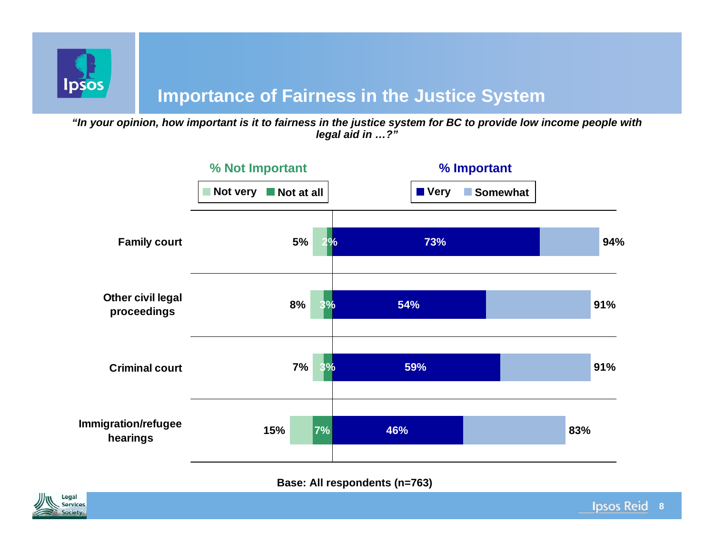

#### **Importance of Fairness in the Justice System**

*"In your opinion, how important is it to fairness in the justice system for BC to provide low income people with legal aid in …?"*



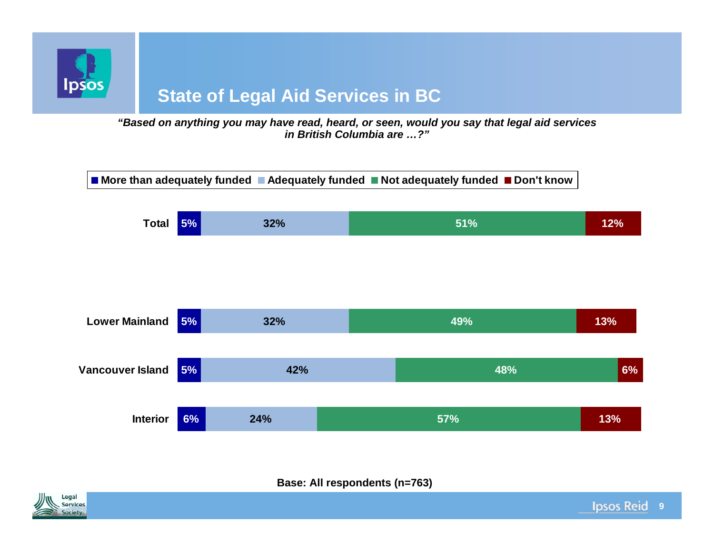

### **State of Legal Aid Services in BC**

*"Based on anything you may have read, heard, or seen, would you say that legal aid services in British Columbia are …?"*



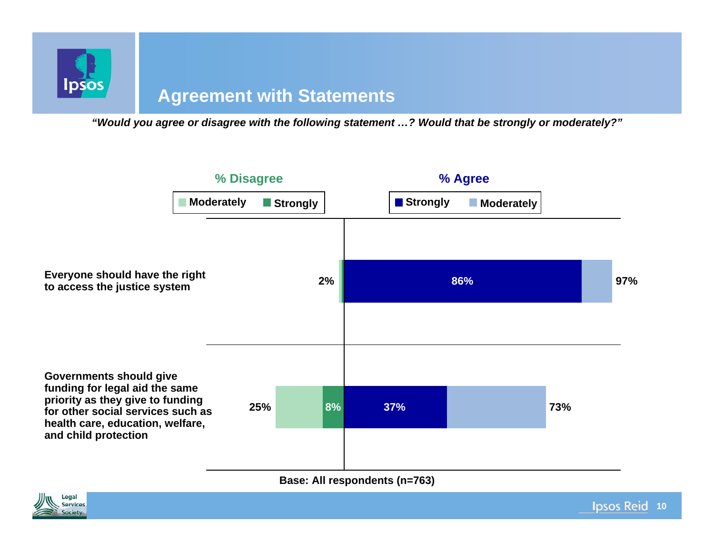

#### **Agreement with Statements**

*"Would you agree or disagree with the following statement …? Would that be strongly or moderately?"*